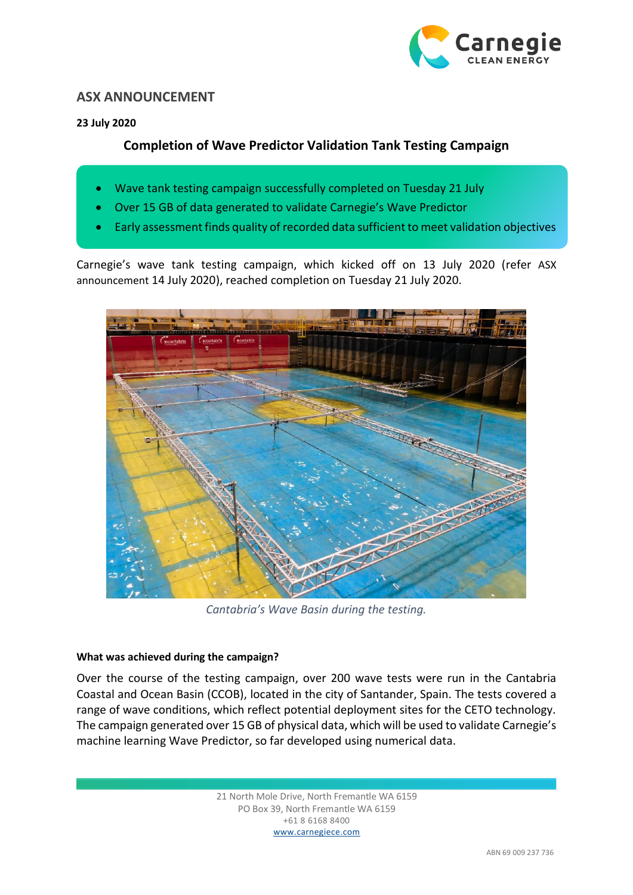

## **ASX ANNOUNCEMENT**

### **23 July 2020**

# **Completion of Wave Predictor Validation Tank Testing Campaign**

- Wave tank testing campaign successfully completed on Tuesday 21 July
- Over 15 GB of data generated to validate Carnegie's Wave Predictor
- Early assessment finds quality of recorded data sufficient to meet validation objectives

Carnegie's wave tank testing campaign, which kicked off on 13 July 2020 (refer ASX announcement 14 July 2020), reached completion on Tuesday 21 July 2020.



*Cantabria's Wave Basin during the testing.*

#### **What was achieved during the campaign?**

Over the course of the testing campaign, over 200 wave tests were run in the Cantabria Coastal and Ocean Basin (CCOB), located in the city of Santander, Spain. The tests covered a range of wave conditions, which reflect potential deployment sites for the CETO technology. The campaign generated over 15 GB of physical data, which will be used to validate Carnegie's machine learning Wave Predictor, so far developed using numerical data.

> 21 North Mole Drive, North Fremantle WA 6159 PO Box 39, North Fremantle WA 6159 +61 8 6168 8400 www.carnegiece.com